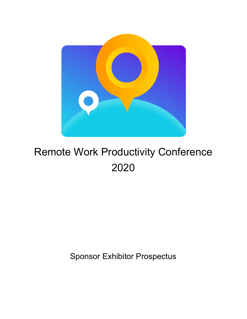

# Remote Work Productivity Conference 2020

Sponsor Exhibitor Prospectus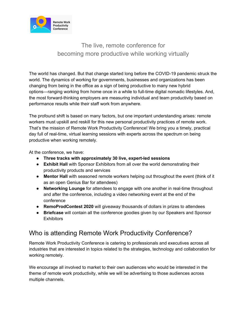

## The live, remote conference for becoming more productive while working virtually

The world has changed. But that change started long before the COVID-19 pandemic struck the world. The dynamics of working for governments, businesses and organizations has been changing from being in the office as a sign of being productive to many new hybrid options—ranging working from home once in a while to full-time digital nomadic lifestyles. And, the most forward-thinking employers are measuring individual and team productivity based on performance results while their staff work from anywhere.

The profound shift is based on many factors, but one important understanding arises: remote workers must upskill and reskill for this new personal productivity practices of remote work. That's the mission of Remote Work Productivity Conference! We bring you a timely, practical day full of real-time, virtual learning sessions with experts across the spectrum on being productive when working remotely.

At the conference, we have:

- **● Three tracks with approximately 30 live, expert-led sessions**
- **Exhibit Hall** with Sponsor Exhibitors from all over the world demonstrating their productivity products and services
- **Mentor Hall** with seasoned remote workers helping out throughout the event (think of it as an open Genius Bar for attendees)
- **Networking Lounge** for attendees to engage with one another in real-time throughout and after the conference, including a video networking event at the end of the conference
- **RemoProdContest 2020** will giveaway thousands of dollars in prizes to attendees
- **Briefcase** will contain all the conference goodies given by our Speakers and Sponsor **Exhibitors**

### Who is attending Remote Work Productivity Conference?

Remote Work Productivity Conference is catering to professionals and executives across all industries that are interested in topics related to the strategies, technology and collaboration for working remotely.

We encourage all involved to market to their own audiences who would be interested in the theme of remote work productivity, while we will be advertising to those audiences across multiple channels.